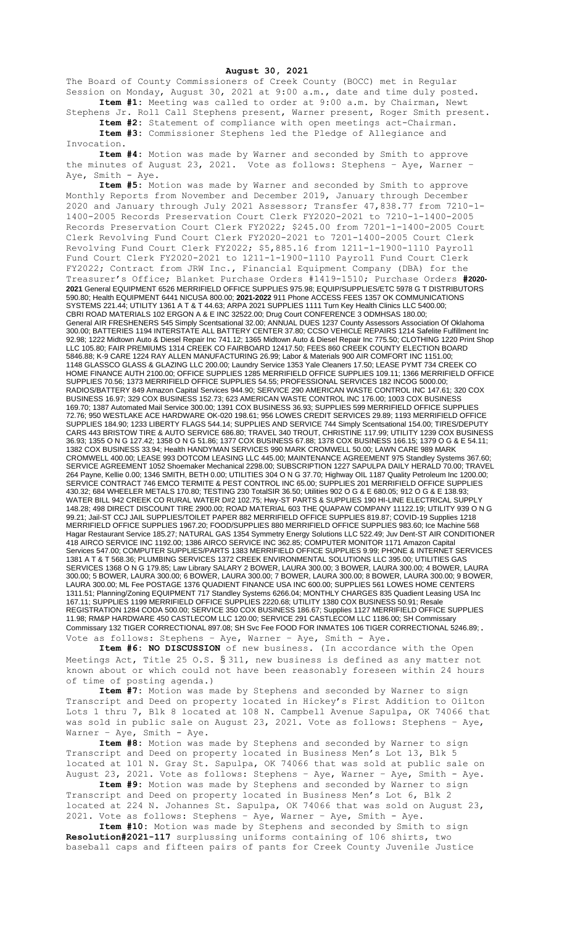**August 30, 2021**

The Board of County Commissioners of Creek County (BOCC) met in Regular Session on Monday, August 30, 2021 at 9:00 a.m., date and time duly posted. **Item #1:** Meeting was called to order at 9:00 a.m. by Chairman, Newt

Stephens Jr. Roll Call Stephens present, Warner present, Roger Smith present. **Item #2:** Statement of compliance with open meetings act-Chairman. **Item #3:** Commissioner Stephens led the Pledge of Allegiance and

Invocation.

**Item #4:** Motion was made by Warner and seconded by Smith to approve the minutes of August 23, 2021. Vote as follows: Stephens – Aye, Warner – Aye, Smith - Aye.

**Item #5:** Motion was made by Warner and seconded by Smith to approve Monthly Reports from November and December 2019, January through December 2020 and January through July 2021 Assessor; Transfer 47,838.77 from 7210-1- 1400-2005 Records Preservation Court Clerk FY2020-2021 to 7210-1-1400-2005 Records Preservation Court Clerk FY2022; \$245.00 from 7201-1-1400-2005 Court Clerk Revolving Fund Court Clerk FY2020-2021 to 7201-1400-2005 Court Clerk Revolving Fund Court Clerk FY2022; \$5,885.16 from 1211-1-1900-1110 Payroll Fund Court Clerk FY2020-2021 to 1211-1-1900-1110 Payroll Fund Court Clerk FY2022; Contract from JRW Inc., Financial Equipment Company (DBA) for the Treasurer's Office; Blanket Purchase Orders #1419-1510; Purchase Orders **#2020- 2021** General EQUIPMENT 6526 MERRIFIELD OFFICE SUPPLIES 975.98; EQUIP/SUPPLIES/ETC 5978 G T DISTRIBUTORS 590.80; Health EQUIPMENT 6441 NICUSA 800.00; **2021-2022** 911 Phone ACCESS FEES 1357 OK COMMUNICATIONS SYSTEMS 221.44; UTILITY 1361 A T & T 44.63; ARPA 2021 SUPPLIES 1111 Turn Key Health Clinics LLC 5400.00; CBRI ROAD MATERIALS 102 ERGON A & E INC 32522.00; Drug Court CONFERENCE 3 ODMHSAS 180.00; General AIR FRESHENERS 545 Simply Scentsational 32.00; ANNUAL DUES 1237 County Assessors Association Of Oklahoma 300.00; BATTERIES 1194 INTERSTATE ALL BATTERY CENTER 37.80; CCSO VEHICLE REPAIRS 1214 Safelite Fulfillment Inc 92.98; 1222 Midtown Auto & Diesel Repair Inc 741.12; 1365 Midtown Auto & Diesel Repair Inc 775.50; CLOTHING 1220 Print Shop LLC 105.80; FAIR PREMIUMS 1314 CREEK CO FAIRBOARD 12417.50; FEES 860 CREEK COUNTY ELECTION BOARD 5846.88; K-9 CARE 1224 RAY ALLEN MANUFACTURING 26.99; Labor & Materials 900 AIR COMFORT INC 1151.00; 1148 GLASSCO GLASS & GLAZING LLC 200.00; Laundry Service 1353 Yale Cleaners 17.50; LEASE PYMT 734 CREEK CO HOME FINANCE AUTH 2100.00; OFFICE SUPPLIES 1285 MERRIFIELD OFFICE SUPPLIES 109.11; 1366 MERRIFIELD OFFICE SUPPLIES 70.56; 1373 MERRIFIELD OFFICE SUPPLIES 54.55; PROFESSIONAL SERVICES 182 INCOG 5000.00; RADIOS/BATTERY 849 Amazon Capital Services 944.90; SERVICE 290 AMERICAN WASTE CONTROL INC 147.61; 320 COX BUSINESS 16.97; 329 COX BUSINESS 152.73; 623 AMERICAN WASTE CONTROL INC 176.00; 1003 COX BUSINESS 169.70; 1387 Automated Mail Service 300.00; 1391 COX BUSINESS 36.93; SUPPLIES 599 MERRIFIELD OFFICE SUPPLIES 72.76; 950 WESTLAKE ACE HARDWARE OK-020 198.61; 956 LOWES CREDIT SERVICES 29.89; 1193 MERRIFIELD OFFICE SUPPLIES 184.90; 1233 LIBERTY FLAGS 544.14; SUPPLIES AND SERVICE 744 Simply Scentsational 154.00; TIRES/DEPUTY CARS 443 BRISTOW TIRE & AUTO SERVICE 686.80; TRAVEL 340 TROUT, CHRISTINE 117.99; UTILITY 1239 COX BUSINESS 36.93; 1355 O N G 127.42; 1358 O N G 51.86; 1377 COX BUSINESS 67.88; 1378 COX BUSINESS 166.15; 1379 O G & E 54.11; 1382 COX BUSINESS 33.94; Health HANDYMAN SERVICES 990 MARK CROMWELL 50.00; LAWN CARE 989 MARK CROMWELL 400.00; LEASE 993 DOTCOM LEASING LLC 445.00; MAINTENANCE AGREEMENT 975 Standley Systems 367.60; SERVICE AGREEMENT 1052 Shoemaker Mechanical 2298.00; SUBSCRIPTION 1227 SAPULPA DAILY HERALD 70.00; TRAVEL 264 Payne, Kellie 0.00; 1346 SMITH, BETH 0.00; UTILITIES 304 O N G 37.70; Highway OIL 1187 Quality Petroleum Inc 1200.00; SERVICE CONTRACT 746 EMCO TERMITE & PEST CONTROL INC 65.00; SUPPLIES 201 MERRIFIELD OFFICE SUPPLIES 430.32; 684 WHEELER METALS 170.80; TESTING 230 TotalSIR 36.50; Utilities 902 O G & E 680.05; 912 O G & E 138.93; WATER BILL 942 CREEK CO RURAL WATER D#2 102.75; Hwy-ST PARTS & SUPPLIES 190 HI-LINE ELECTRICAL SUPPLY 148.28; 498 DIRECT DISCOUNT TIRE 2900.00; ROAD MATERIAL 603 THE QUAPAW COMPANY 11122.19; UTILITY 939 O N G 99.21; Jail-ST CCJ JAIL SUPPLIES/TOILET PAPER 882 MERRIFIELD OFFICE SUPPLIES 819.87; COVID-19 Supplies 1218 MERRIFIELD OFFICE SUPPLIES 1967.20; FOOD/SUPPLIES 880 MERRIFIELD OFFICE SUPPLIES 983.60; Ice Machine 568 Hagar Restaurant Service 185.27; NATURAL GAS 1354 Symmetry Energy Solutions LLC 522.49; Juv Dent-ST AIR CONDITIONER 418 AIRCO SERVICE INC 1192.00; 1386 AIRCO SERVICE INC 362.85; COMPUTER MONITOR 1171 Amazon Capital Services 547.00; COMPUTER SUPPLIES/PARTS 1383 MERRIFIELD OFFICE SUPPLIES 9.99; PHONE & INTERNET SERVICES 1381 A T & T 568.36; PLUMBING SERVICES 1372 CREEK ENVIRONMENTAL SOLUTIONS LLC 395.00; UTILITIES GAS SERVICES 1368 O N G 179.85; Law Library SALARY 2 BOWER, LAURA 300.00; 3 BOWER, LAURA 300.00; 4 BOWER, LAURA 300.00; 5 BOWER, LAURA 300.00; 6 BOWER, LAURA 300.00; 7 BOWER, LAURA 300.00; 8 BOWER, LAURA 300.00; 9 BOWER, LAURA 300.00; ML Fee POSTAGE 1376 QUADIENT FINANCE USA INC 600.00; SUPPLIES 561 LOWES HOME CENTERS 1311.51; Planning/Zoning EQUIPMENT 717 Standley Systems 6266.04; MONTHLY CHARGES 835 Quadient Leasing USA Inc 167.11; SUPPLIES 1199 MERRIFIELD OFFICE SUPPLIES 2220.68; UTILITY 1380 COX BUSINESS 50.91; Resale REGISTRATION 1284 CODA 500.00; SERVICE 350 COX BUSINESS 186.67; Supplies 1127 MERRIFIELD OFFICE SUPPLIES 11.98; RM&P HARDWARE 450 CASTLECOM LLC 120.00; SERVICE 291 CASTLECOM LLC 1186.00; SH Commissary Commissary 132 TIGER CORRECTIONAL 897.08; SH Svc Fee FOOD FOR INMATES 106 TIGER CORRECTIONAL 5246.89;. Vote as follows: Stephens - Aye, Warner - Aye, Smith - Aye.

**Item #6: NO DISCUSSION** of new business. (In accordance with the Open Meetings Act, Title 25 O.S. § 311, new business is defined as any matter not known about or which could not have been reasonably foreseen within 24 hours of time of posting agenda.)

**Item #7:** Motion was made by Stephens and seconded by Warner to sign Transcript and Deed on property located in Hickey's First Addition to Oilton Lots 1 thru 7, Blk 8 located at 108 N. Campbell Avenue Sapulpa, OK 74066 that was sold in public sale on August 23, 2021. Vote as follows: Stephens - Aye, Warner - Aye, Smith - Aye.

**Item #8:** Motion was made by Stephens and seconded by Warner to sign Transcript and Deed on property located in Business Men's Lot 13, Blk 5 located at 101 N. Gray St. Sapulpa, OK 74066 that was sold at public sale on August 23, 2021. Vote as follows: Stephens – Aye, Warner – Aye, Smith - Aye.

**Item #9:** Motion was made by Stephens and seconded by Warner to sign Transcript and Deed on property located in Business Men's Lot 6, Blk 2 located at 224 N. Johannes St. Sapulpa, OK 74066 that was sold on August 23, 2021. Vote as follows: Stephens – Aye, Warner – Aye, Smith - Aye.

**Item #10:** Motion was made by Stephens and seconded by Smith to sign **Resolution#2021-117** surplussing uniforms containing of 106 shirts, two baseball caps and fifteen pairs of pants for Creek County Juvenile Justice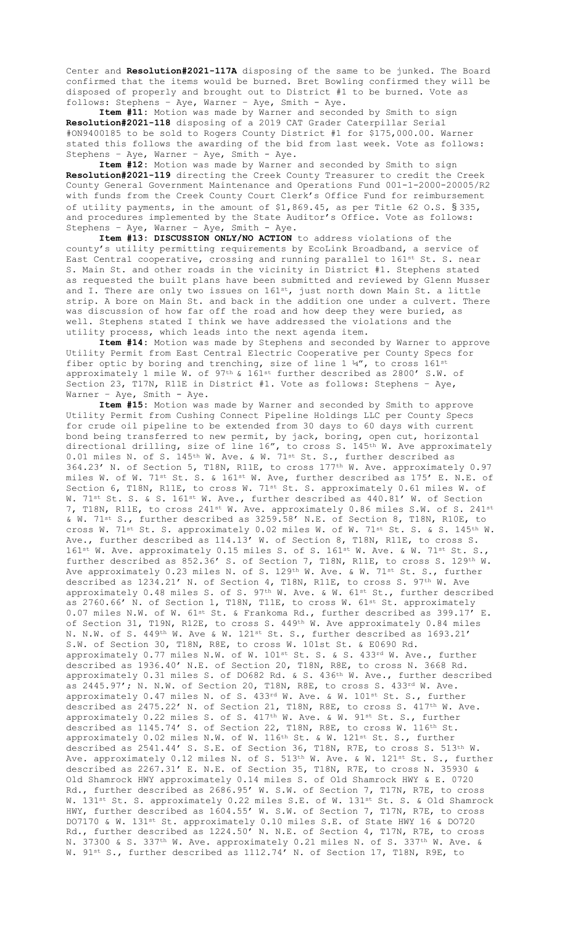Center and **Resolution#2021-117A** disposing of the same to be junked. The Board confirmed that the items would be burned. Bret Bowling confirmed they will be disposed of properly and brought out to District #1 to be burned. Vote as follows: Stephens – Aye, Warner – Aye, Smith - Aye.

**Item #11:** Motion was made by Warner and seconded by Smith to sign **Resolution#2021-118** disposing of a 2019 CAT Grader Caterpillar Serial #ON9400185 to be sold to Rogers County District #1 for \$175,000.00. Warner stated this follows the awarding of the bid from last week. Vote as follows: Stephens – Aye, Warner – Aye, Smith - Aye.

**Item #12:** Motion was made by Warner and seconded by Smith to sign **Resolution#2021-119** directing the Creek County Treasurer to credit the Creek County General Government Maintenance and Operations Fund 001-1-2000-20005/R2 with funds from the Creek County Court Clerk's Office Fund for reimbursement of utility payments, in the amount of \$1,869.45, as per Title 62 O.S. § 335, and procedures implemented by the State Auditor's Office. Vote as follows: Stephens – Aye, Warner – Aye, Smith - Aye.

**Item #13: DISCUSSION ONLY/NO ACTION** to address violations of the county's utility permitting requirements by EcoLink Broadband, a service of East Central cooperative, crossing and running parallel to 161<sup>st</sup> St. S. near S. Main St. and other roads in the vicinity in District #1. Stephens stated as requested the built plans have been submitted and reviewed by Glenn Musser and I. There are only two issues on  $161^{st}$ , just north down Main St. a little strip. A bore on Main St. and back in the addition one under a culvert. There was discussion of how far off the road and how deep they were buried, as well. Stephens stated I think we have addressed the violations and the utility process, which leads into the next agenda item.

**Item #14:** Motion was made by Stephens and seconded by Warner to approve Utility Permit from East Central Electric Cooperative per County Specs for fiber optic by boring and trenching, size of line  $1 \frac{1}{4}$ , to cross  $161^{\text{st}}$ approximately 1 mile W. of 97<sup>th</sup> & 161<sup>st</sup> further described as 2800' S.W. of Section 23, T17N, R11E in District #1. Vote as follows: Stephens – Aye, Warner – Aye, Smith - Aye.

**Item #15:** Motion was made by Warner and seconded by Smith to approve Utility Permit from Cushing Connect Pipeline Holdings LLC per County Specs for crude oil pipeline to be extended from 30 days to 60 days with current bond being transferred to new permit, by jack, boring, open cut, horizontal directional drilling, size of line  $16''$ , to cross S.  $145<sup>th</sup>$  W. Ave approximately 0.01 miles N. of S. 145<sup>th</sup> W. Ave. & W. 71<sup>st</sup> St. S., further described as 364.23' N. of Section 5, T18N, R11E, to cross 177th W. Ave. approximately 0.97 miles W. of W. 71st St. S. & 161st W. Ave, further described as 175' E. N.E. of Section 6, T18N, R11E, to cross W. 71st St. S. approximately 0.61 miles W. of W. 71<sup>st</sup> St. S. & S. 161<sup>st</sup> W. Ave., further described as 440.81' W. of Section 7, T18N, R11E, to cross 241<sup>st</sup> W. Ave. approximately 0.86 miles S.W. of S. 241<sup>st</sup> & W. 71st S., further described as 3259.58' N.E. of Section 8, T18N, R10E, to cross W. 71<sup>st</sup> St. S. approximately 0.02 miles W. of W. 71<sup>st</sup> St. S. & S. 145<sup>th</sup> W. Ave., further described as 114.13' W. of Section 8, T18N, R11E, to cross S. 161<sup>st</sup> W. Ave. approximately 0.15 miles S. of S. 161<sup>st</sup> W. Ave. & W. 71<sup>st</sup> St. S. further described as 852.36' S. of Section 7, T18N, R11E, to cross S. 129th W. Ave approximately 0.23 miles N. of S. 129th W. Ave. & W. 71st St. S., further described as  $1234.21'$  N. of Section 4, T18N, R11E, to cross S. 97<sup>th</sup> W. Ave approximately 0.48 miles S. of S.  $97<sup>th</sup>$  W. Ave. & W.  $61<sup>st</sup>$  St., further described as 2760.66' N. of Section 1, T18N, T11E, to cross W. 61st St. approximately 0.07 miles N.W. of W. 61st St. & Frankoma Rd., further described as 399.17' E. of Section 31, T19N, R12E, to cross S. 449th W. Ave approximately 0.84 miles N. N.W. of S. 449th W. Ave & W. 121st St. S., further described as 1693.21' S.W. of Section 30, T18N, R8E, to cross W. 101st St. & E0690 Rd. approximately 0.77 miles N.W. of W. 101st St. S. & S. 433rd W. Ave., further described as 1936.40' N.E. of Section 20, T18N, R8E, to cross N. 3668 Rd. approximately 0.31 miles S. of DO682 Rd. & S. 436th W. Ave., further described as 2445.97'; N. N.W. of Section 20, T18N, R8E, to cross S. 433rd W. Ave. approximately 0.47 miles N. of S. 433<sup>rd</sup> W. Ave. & W. 101st St. S., further described as 2475.22' N. of Section 21, T18N, R8E, to cross S. 417<sup>th</sup> W. Ave. approximately 0.22 miles S. of S.  $417^{th}$  W. Ave. & W.  $91^{st}$  St. S., further described as 1145.74' S. of Section 22, T18N, R8E, to cross W. 116th St. approximately 0.02 miles N.W. of W. 116<sup>th</sup> St. & W. 121<sup>st</sup> St. S., further described as  $2541.44'$  S. S.E. of Section 36, T18N, R7E, to cross S.  $513^{\text{th}}$  W. Ave. approximately 0.12 miles N. of S. 513<sup>th</sup> W. Ave. & W. 121<sup>st</sup> St. S., further described as 2267.31' E. N.E. of Section 35, T18N, R7E, to cross N. 35930 & Old Shamrock HWY approximately 0.14 miles S. of Old Shamrock HWY & E. 0720 Rd., further described as 2686.95' W. S.W. of Section 7, T17N, R7E, to cross W. 131st St. S. approximately 0.22 miles S.E. of W. 131st St. S. & Old Shamrock HWY, further described as 1604.55' W. S.W. of Section 7, T17N, R7E, to cross DO7170 & W. 131st St. approximately 0.10 miles S.E. of State HWY 16 & DO720 Rd., further described as 1224.50' N. N.E. of Section 4, T17N, R7E, to cross N. 37300 & S. 337<sup>th</sup> W. Ave. approximately 0.21 miles N. of S. 337<sup>th</sup> W. Ave. & W. 91<sup>st</sup> S., further described as 1112.74' N. of Section 17, T18N, R9E, to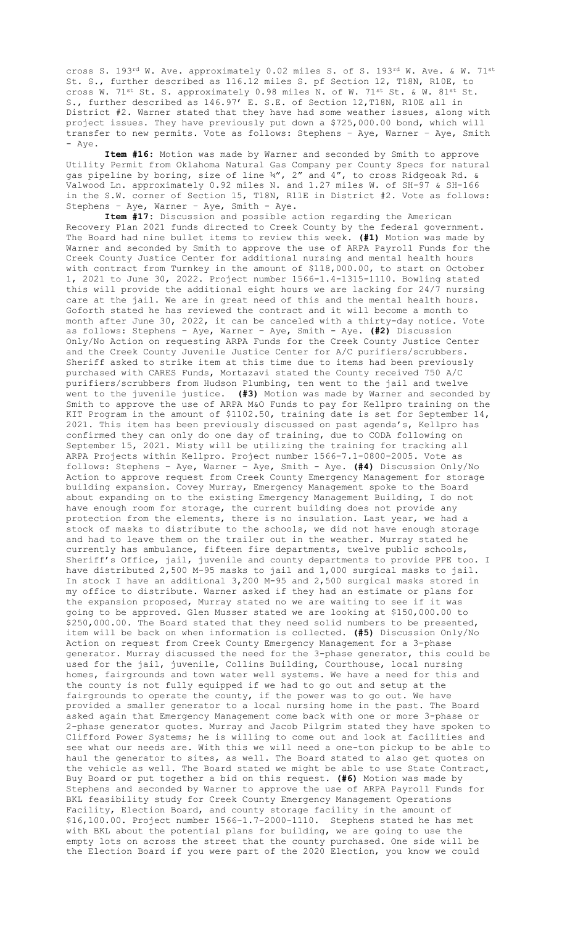cross S. 193rd W. Ave. approximately 0.02 miles S. of S. 193rd W. Ave. & W. 71st St. S., further described as 116.12 miles S. pf Section 12, T18N, R10E, to cross W. 71st St. S. approximately 0.98 miles N. of W. 71st St. & W. 81st St. S., further described as 146.97' E. S.E. of Section 12,T18N, R10E all in District #2. Warner stated that they have had some weather issues, along with project issues. They have previously put down a \$725,000.00 bond, which will transfer to new permits. Vote as follows: Stephens – Aye, Warner – Aye, Smith - Aye.

**Item #16:** Motion was made by Warner and seconded by Smith to approve Utility Permit from Oklahoma Natural Gas Company per County Specs for natural gas pipeline by boring, size of line ¾", 2" and 4", to cross Ridgeoak Rd. & Valwood Ln. approximately 0.92 miles N. and 1.27 miles W. of SH-97 & SH-166 in the S.W. corner of Section 15, T18N, R11E in District #2. Vote as follows: Stephens – Aye, Warner – Aye, Smith - Aye.

**Item #17:** Discussion and possible action regarding the American Recovery Plan 2021 funds directed to Creek County by the federal government. The Board had nine bullet items to review this week. **(#1)** Motion was made by Warner and seconded by Smith to approve the use of ARPA Payroll Funds for the Creek County Justice Center for additional nursing and mental health hours with contract from Turnkey in the amount of \$118,000.00, to start on October 1, 2021 to June 30, 2022. Project number 1566-1.4-1315-1110. Bowling stated this will provide the additional eight hours we are lacking for 24/7 nursing care at the jail. We are in great need of this and the mental health hours. Goforth stated he has reviewed the contract and it will become a month to month after June 30, 2022, it can be canceled with a thirty-day notice. Vote as follows: Stephens – Aye, Warner – Aye, Smith - Aye. **(#2)** Discussion Only/No Action on requesting ARPA Funds for the Creek County Justice Center and the Creek County Juvenile Justice Center for A/C purifiers/scrubbers. Sheriff asked to strike item at this time due to items had been previously purchased with CARES Funds, Mortazavi stated the County received 750 A/C purifiers/scrubbers from Hudson Plumbing, ten went to the jail and twelve went to the juvenile justice. **(#3)** Motion was made by Warner and seconded by Smith to approve the use of ARPA M&O Funds to pay for Kellpro training on the KIT Program in the amount of \$1102.50, training date is set for September 14, 2021. This item has been previously discussed on past agenda's, Kellpro has confirmed they can only do one day of training, due to CODA following on September 15, 2021. Misty will be utilizing the training for tracking all ARPA Projects within Kellpro. Project number 1566-7.1-0800-2005. Vote as follows: Stephens – Aye, Warner – Aye, Smith - Aye. **(#4)** Discussion Only/No Action to approve request from Creek County Emergency Management for storage building expansion. Covey Murray, Emergency Management spoke to the Board about expanding on to the existing Emergency Management Building, I do not have enough room for storage, the current building does not provide any protection from the elements, there is no insulation. Last year, we had a stock of masks to distribute to the schools, we did not have enough storage and had to leave them on the trailer out in the weather. Murray stated he currently has ambulance, fifteen fire departments, twelve public schools, Sheriff's Office, jail, juvenile and county departments to provide PPE too. I have distributed 2,500 M-95 masks to jail and 1,000 surgical masks to jail. In stock I have an additional 3,200 M-95 and 2,500 surgical masks stored in my office to distribute. Warner asked if they had an estimate or plans for the expansion proposed, Murray stated no we are waiting to see if it was going to be approved. Glen Musser stated we are looking at \$150,000.00 to \$250,000.00. The Board stated that they need solid numbers to be presented, item will be back on when information is collected. **(#5)** Discussion Only/No Action on request from Creek County Emergency Management for a 3-phase generator. Murray discussed the need for the 3-phase generator, this could be used for the jail, juvenile, Collins Building, Courthouse, local nursing homes, fairgrounds and town water well systems. We have a need for this and the county is not fully equipped if we had to go out and setup at the fairgrounds to operate the county, if the power was to go out. We have provided a smaller generator to a local nursing home in the past. The Board asked again that Emergency Management come back with one or more 3-phase or 2-phase generator quotes. Murray and Jacob Pilgrim stated they have spoken to Clifford Power Systems; he is willing to come out and look at facilities and see what our needs are. With this we will need a one-ton pickup to be able to haul the generator to sites, as well. The Board stated to also get quotes on the vehicle as well. The Board stated we might be able to use State Contract, Buy Board or put together a bid on this request. **(#6)** Motion was made by Stephens and seconded by Warner to approve the use of ARPA Payroll Funds for BKL feasibility study for Creek County Emergency Management Operations Facility, Election Board, and county storage facility in the amount of \$16,100.00. Project number 1566-1.7-2000-1110. Stephens stated he has met with BKL about the potential plans for building, we are going to use the empty lots on across the street that the county purchased. One side will be the Election Board if you were part of the 2020 Election, you know we could